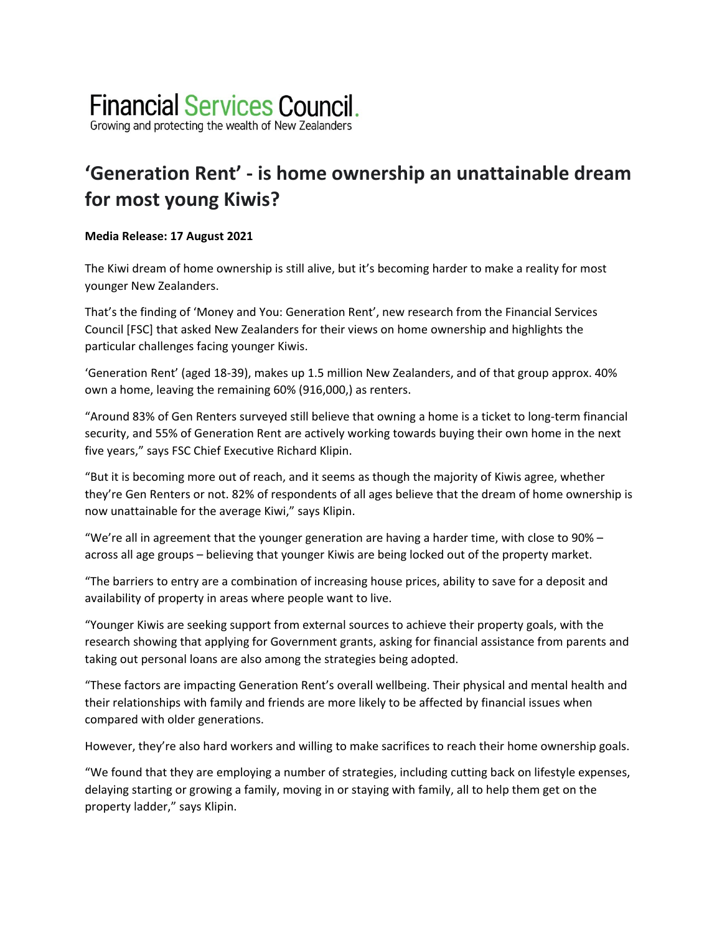# **Financial Services Council.**

Growing and protecting the wealth of New Zealanders

## **'Generation Rent' - is home ownership an unattainable dream for most young Kiwis?**

### **Media Release: 17 August 2021**

The Kiwi dream of home ownership is still alive, but it's becoming harder to make a reality for most younger New Zealanders.

That's the finding of 'Money and You: Generation Rent', new research from the Financial Services Council [FSC] that asked New Zealanders for their views on home ownership and highlights the particular challenges facing younger Kiwis.

'Generation Rent' (aged 18-39), makes up 1.5 million New Zealanders, and of that group approx. 40% own a home, leaving the remaining 60% (916,000,) as renters.

"Around 83% of Gen Renters surveyed still believe that owning a home is a ticket to long-term financial security, and 55% of Generation Rent are actively working towards buying their own home in the next five years," says FSC Chief Executive Richard Klipin.

"But it is becoming more out of reach, and it seems as though the majority of Kiwis agree, whether they're Gen Renters or not. 82% of respondents of all ages believe that the dream of home ownership is now unattainable for the average Kiwi," says Klipin.

"We're all in agreement that the younger generation are having a harder time, with close to  $90\%$  across all age groups – believing that younger Kiwis are being locked out of the property market.

"The barriers to entry are a combination of increasing house prices, ability to save for a deposit and availability of property in areas where people want to live.

"Younger Kiwis are seeking support from external sources to achieve their property goals, with the research showing that applying for Government grants, asking for financial assistance from parents and taking out personal loans are also among the strategies being adopted.

"These factors are impacting Generation Rent's overall wellbeing. Their physical and mental health and their relationships with family and friends are more likely to be affected by financial issues when compared with older generations.

However, they're also hard workers and willing to make sacrifices to reach their home ownership goals.

"We found that they are employing a number of strategies, including cutting back on lifestyle expenses, delaying starting or growing a family, moving in or staying with family, all to help them get on the property ladder," says Klipin.